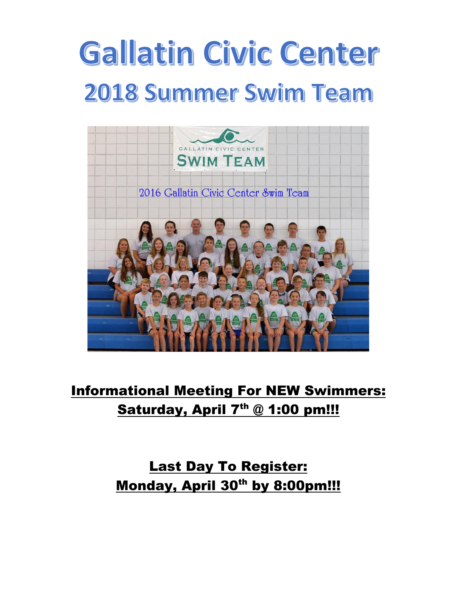# **Gallatin Civic Center 2018 Summer Swim Team**



# Informational Meeting For NEW Swimmers: Saturday, April 7<sup>th</sup> @ 1:00 pm!!!

# Last Day To Register: Monday, April 30<sup>th</sup> by 8:00pm!!!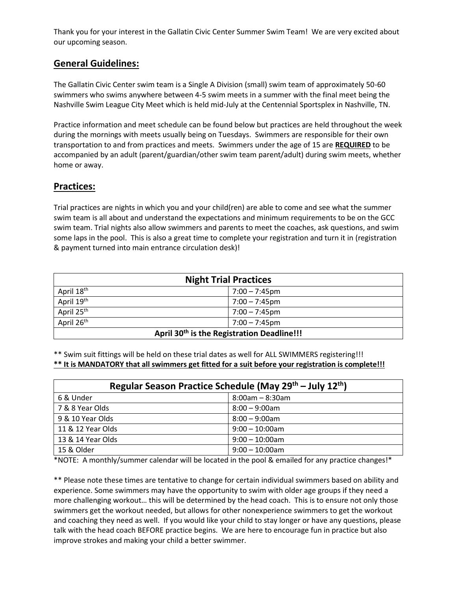Thank you for your interest in the Gallatin Civic Center Summer Swim Team! We are very excited about our upcoming season.

### **General Guidelines:**

The Gallatin Civic Center swim team is a Single A Division (small) swim team of approximately 50-60 swimmers who swims anywhere between 4-5 swim meets in a summer with the final meet being the Nashville Swim League City Meet which is held mid-July at the Centennial Sportsplex in Nashville, TN.

Practice information and meet schedule can be found below but practices are held throughout the week during the mornings with meets usually being on Tuesdays. Swimmers are responsible for their own transportation to and from practices and meets. Swimmers under the age of 15 are **REQUIRED** to be accompanied by an adult (parent/guardian/other swim team parent/adult) during swim meets, whether home or away.

### **Practices:**

Trial practices are nights in which you and your child(ren) are able to come and see what the summer swim team is all about and understand the expectations and minimum requirements to be on the GCC swim team. Trial nights also allow swimmers and parents to meet the coaches, ask questions, and swim some laps in the pool. This is also a great time to complete your registration and turn it in (registration & payment turned into main entrance circulation desk)!

| <b>Night Trial Practices</b>                           |                  |  |  |  |
|--------------------------------------------------------|------------------|--|--|--|
| April 18 <sup>th</sup>                                 | $7:00 - 7:45$ pm |  |  |  |
| April 19th<br>$7:00 - 7:45$ pm                         |                  |  |  |  |
| April 25 <sup>th</sup><br>$7:00 - 7:45$ pm             |                  |  |  |  |
| April 26th<br>$7:00 - 7:45$ pm                         |                  |  |  |  |
| April 30 <sup>th</sup> is the Registration Deadline!!! |                  |  |  |  |

\*\* Swim suit fittings will be held on these trial dates as well for ALL SWIMMERS registering!!! **\*\* It is MANDATORY that all swimmers get fitted for a suit before your registration is complete!!!**

| Regular Season Practice Schedule (May 29 <sup>th</sup> – July 12 <sup>th</sup> ) |                       |  |  |  |
|----------------------------------------------------------------------------------|-----------------------|--|--|--|
| 6 & Under                                                                        | $8:00$ am – $8:30$ am |  |  |  |
| 7 & 8 Year Olds                                                                  | $8:00 - 9:00$ am      |  |  |  |
| 9 & 10 Year Olds                                                                 | $8:00 - 9:00$ am      |  |  |  |
| 11 & 12 Year Olds                                                                | $9:00 - 10:00$ am     |  |  |  |
| 13 & 14 Year Olds                                                                | $9:00 - 10:00$ am     |  |  |  |
| 15 & Older                                                                       | $9:00 - 10:00$ am     |  |  |  |

\*NOTE: A monthly/summer calendar will be located in the pool & emailed for any practice changes!\*

\*\* Please note these times are tentative to change for certain individual swimmers based on ability and experience. Some swimmers may have the opportunity to swim with older age groups if they need a more challenging workout… this will be determined by the head coach. This is to ensure not only those swimmers get the workout needed, but allows for other nonexperience swimmers to get the workout and coaching they need as well. If you would like your child to stay longer or have any questions, please talk with the head coach BEFORE practice begins. We are here to encourage fun in practice but also improve strokes and making your child a better swimmer.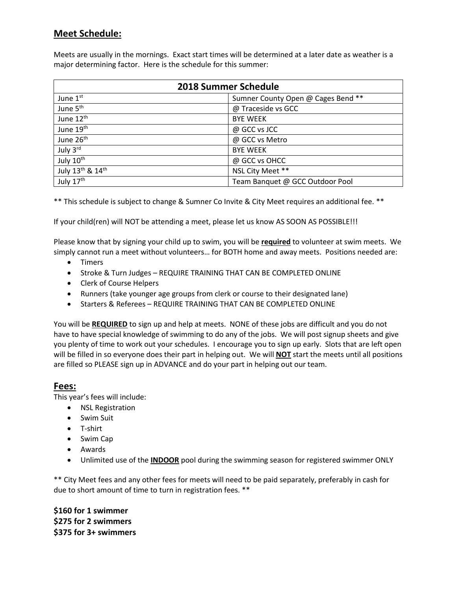### **Meet Schedule:**

Meets are usually in the mornings. Exact start times will be determined at a later date as weather is a major determining factor. Here is the schedule for this summer:

| <b>2018 Summer Schedule</b> |                                    |  |  |  |
|-----------------------------|------------------------------------|--|--|--|
| June 1st                    | Sumner County Open @ Cages Bend ** |  |  |  |
| June 5 <sup>th</sup>        | @ Traceside vs GCC                 |  |  |  |
| June 12 <sup>th</sup>       | <b>BYE WEEK</b>                    |  |  |  |
| June 19 <sup>th</sup>       | @ GCC vs JCC                       |  |  |  |
| June 26 <sup>th</sup>       | @ GCC vs Metro                     |  |  |  |
| July 3rd                    | <b>BYE WEEK</b>                    |  |  |  |
| July 10th                   | @ GCC vs OHCC                      |  |  |  |
| July 13th & 14th            | NSL City Meet **                   |  |  |  |
| July 17th                   | Team Banquet @ GCC Outdoor Pool    |  |  |  |

\*\* This schedule is subject to change & Sumner Co Invite & City Meet requires an additional fee. \*\*

If your child(ren) will NOT be attending a meet, please let us know AS SOON AS POSSIBLE!!!

Please know that by signing your child up to swim, you will be **required** to volunteer at swim meets. We simply cannot run a meet without volunteers… for BOTH home and away meets. Positions needed are:

- Timers
- Stroke & Turn Judges REQUIRE TRAINING THAT CAN BE COMPLETED ONLINE
- Clerk of Course Helpers
- Runners (take younger age groups from clerk or course to their designated lane)
- **Starters & Referees REQUIRE TRAINING THAT CAN BE COMPLETED ONLINE**

You will be **REQUIRED** to sign up and help at meets. NONE of these jobs are difficult and you do not have to have special knowledge of swimming to do any of the jobs. We will post signup sheets and give you plenty of time to work out your schedules. I encourage you to sign up early. Slots that are left open will be filled in so everyone does their part in helping out. We will **NOT** start the meets until all positions are filled so PLEASE sign up in ADVANCE and do your part in helping out our team.

### **Fees:**

This year's fees will include:

- NSL Registration
- Swim Suit
- T-shirt
- Swim Cap
- Awards
- Unlimited use of the **INDOOR** pool during the swimming season for registered swimmer ONLY

\*\* City Meet fees and any other fees for meets will need to be paid separately, preferably in cash for due to short amount of time to turn in registration fees. \*\*

**\$160 for 1 swimmer \$275 for 2 swimmers \$375 for 3+ swimmers**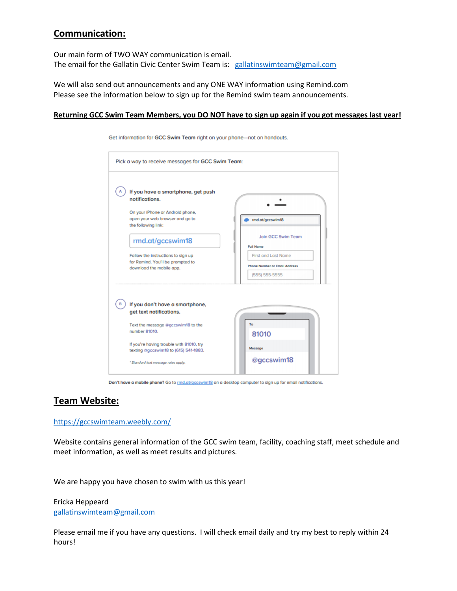### **Communication:**

Our main form of TWO WAY communication is email. The email for the Gallatin Civic Center Swim Team is: [gallatinswimteam@gmail.com](mailto:gallatinswimteam@gmail.com)

We will also send out announcements and any ONE WAY information using Remind.com Please see the information below to sign up for the Remind swim team announcements.

### **Returning GCC Swim Team Members, you DO NOT have to sign up again if you got messages last year!**

| Pick a way to receive messages for GCC Swim Team:                                                                                                             |                                      |
|---------------------------------------------------------------------------------------------------------------------------------------------------------------|--------------------------------------|
| If you have a smartphone, get push                                                                                                                            |                                      |
| notifications.                                                                                                                                                |                                      |
| On your iPhone or Android phone,                                                                                                                              |                                      |
| open your web browser and go to<br>the following link:                                                                                                        | rmd.at/gccswim18                     |
|                                                                                                                                                               | Join GCC Swim Team                   |
| rmd.at/gccswim18                                                                                                                                              | <b>Full Name</b>                     |
| Follow the instructions to sign up                                                                                                                            | <b>First and Last Name</b>           |
| for Remind. You'll be prompted to<br>download the mobile app.                                                                                                 | <b>Phone Number or Email Address</b> |
|                                                                                                                                                               | (555) 555-5555                       |
| If you don't have a smartphone,<br>get text notifications.<br>Text the message @gccswim18 to the<br>number 81010.<br>If you're having trouble with 81010, try | To<br>81010<br>Message               |
| texting @gccswim18 to (615) 541-1883.                                                                                                                         |                                      |

Get information for GCC Swim Team right on your phone-not on handouts.

Don't have a mobile phone? Go to **md.at/gccswim18** on a desktop computer to sign up for email notifications.

### **Team Website:**

### <https://gccswimteam.weebly.com/>

Website contains general information of the GCC swim team, facility, coaching staff, meet schedule and meet information, as well as meet results and pictures.

We are happy you have chosen to swim with us this year!

Ericka Heppeard [gallatinswimteam@gmail.com](mailto:gallatinswimteam@gmail.com)

Please email me if you have any questions. I will check email daily and try my best to reply within 24 hours!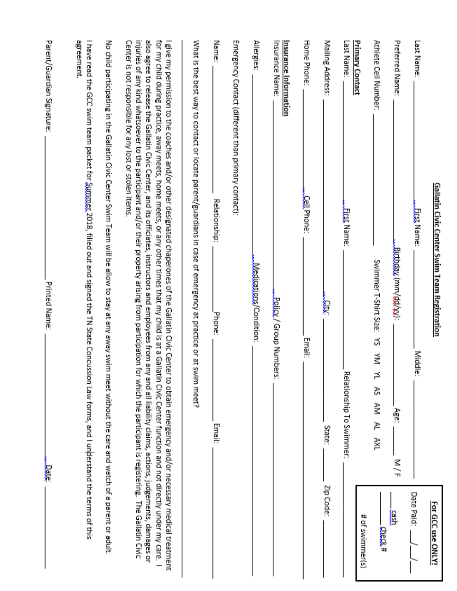|                                                                                                      | <u>Gallatin Civic Center Swim Team Registration</u> |                                                                                                                                                                                                                                                                                                                                                                                                                                                                                                                                                                                                                                                                      | For GCC use ONLY! |
|------------------------------------------------------------------------------------------------------|-----------------------------------------------------|----------------------------------------------------------------------------------------------------------------------------------------------------------------------------------------------------------------------------------------------------------------------------------------------------------------------------------------------------------------------------------------------------------------------------------------------------------------------------------------------------------------------------------------------------------------------------------------------------------------------------------------------------------------------|-------------------|
| Last Name:                                                                                           | Eirst Name:                                         | Middle:                                                                                                                                                                                                                                                                                                                                                                                                                                                                                                                                                                                                                                                              | Date Paid:        |
| Preferred Name:                                                                                      |                                                     | Buttoday (mm/dd/yx):<br>Age:<br>M/F                                                                                                                                                                                                                                                                                                                                                                                                                                                                                                                                                                                                                                  | g                 |
| Athlete Cell Number:                                                                                 |                                                     | Swimmer T-Shirt Size:<br>చే<br>⋚<br>≓<br>R<br>≹<br>P<br>X⊭                                                                                                                                                                                                                                                                                                                                                                                                                                                                                                                                                                                                           | duck#             |
| <b>Primary Contact</b>                                                                               |                                                     |                                                                                                                                                                                                                                                                                                                                                                                                                                                                                                                                                                                                                                                                      | # of swimmer(s)   |
| Last Name:                                                                                           | Eirst Name:                                         | Relationship To Swimmer:                                                                                                                                                                                                                                                                                                                                                                                                                                                                                                                                                                                                                                             |                   |
| Mailing Address:                                                                                     |                                                     | Ę<br>State:                                                                                                                                                                                                                                                                                                                                                                                                                                                                                                                                                                                                                                                          | Zip Code:         |
| Home Phone:                                                                                          | Cell Phone:                                         | Email:                                                                                                                                                                                                                                                                                                                                                                                                                                                                                                                                                                                                                                                               |                   |
| Insurance Name:<br><u>Insurance Information</u>                                                      |                                                     | Policy / Group Number<br>й                                                                                                                                                                                                                                                                                                                                                                                                                                                                                                                                                                                                                                           |                   |
| Allergies:                                                                                           |                                                     | Medications/Condition:                                                                                                                                                                                                                                                                                                                                                                                                                                                                                                                                                                                                                                               |                   |
| Emergency Contact (different than primary contact):                                                  |                                                     |                                                                                                                                                                                                                                                                                                                                                                                                                                                                                                                                                                                                                                                                      |                   |
| Name:                                                                                                | Relationship:                                       | Phone:<br>Email:                                                                                                                                                                                                                                                                                                                                                                                                                                                                                                                                                                                                                                                     |                   |
|                                                                                                      |                                                     | What is the best way to contact or locate parent/guardians in case of emergency at practice or at swim meet?                                                                                                                                                                                                                                                                                                                                                                                                                                                                                                                                                         |                   |
| Center is not responsible for any lost or stolen items.                                              |                                                     | injuries of any kind whatsoever to the participant and/or their property arising from participation for which the participant is registering. The Gallatin Civic<br>also agree to release the Gallatin Civic Center, and its officiates, instructors and employees from any and all liability claims, actions, judgements, damages or<br>for my child during practice, away meets, home meets, or any other times that my child is at a Gallatin Civic Center function and not directly under my care.<br>I give my permission to the coaches and/or other designated chaperones of the Gallatin Civic Center to obtain emergency and/or necessary medical treatment |                   |
| No child participating in the Gallatin Civic Center Swim Team will be allow to stay at any away swim |                                                     | meet without the care and watch of a parent or adult.                                                                                                                                                                                                                                                                                                                                                                                                                                                                                                                                                                                                                |                   |
| agreement.                                                                                           |                                                     | I have read the GCC swim team packet for Summer, 2018, filled out and signed the TN State Concussion Law forms, and I unberstand the terms of this                                                                                                                                                                                                                                                                                                                                                                                                                                                                                                                   |                   |
|                                                                                                      |                                                     |                                                                                                                                                                                                                                                                                                                                                                                                                                                                                                                                                                                                                                                                      |                   |

Parent/Guardian Signature:

Printed Name:

Jate.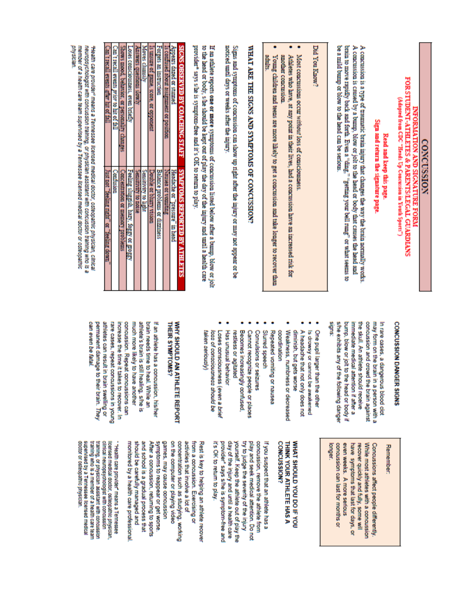# **CONCUSSION**

# FOR STUDENT-ATHLETES & PARENTS/LEGAL GUARDIANS (Adapted from CDC "Heads Up Concussion in Youth Sports") **INFORMATION AND SIGNATURE FORM**

# Sign and return the signature page Read and keep this page.

be a mild bump or blow to the head can be serious A concussion is caused by a bump, blow or jolt to the head or body that causes the head and A concussion is a type of traumatic brain injury that changes the way the brain normally works brain to move rapidly back and forth. Even a "ding," "getting your bell rung" or what seems to

# Did You Know?

- Most concussions occur without loss of consciousness.
- Athletes who have, at any point in their lives, had a concussion have an increased risk for another concussion
- adults. Young children and teens are more likely to get a concussion and take longer to recover than

# WHAT ARE THE SIGNS AND SYMPTOMS OF CONCUSSION

noticed until days or weeks after the injury. Signs and symptoms of concussion can show up right after the injury or may not appear or be

provider<sup>®</sup> says s/he is symptom-free and it's OK to return to play. to the head or body, she should be kept out of play the day of the injury and until a health care If an athlete reports one or more symptoms of concussion listed below after a bump, blow or jolt

| $\mathbb{C}$ am't recall events orhor hit of fall | Ē<br>events prior to hit of fall | ë                               | OSES CONSCIOUSEMESS<br>Teng poet) | <b>D STRUCKER</b><br><b>TWOLE SUDGERING</b> |   | e, score, or opponent             | <b>TIME DIRECTION</b>              | <b>CONTINUES AND ALL AND A</b><br>Ě<br><b>DOUIS 001.10</b> | Appears dazed or stumed        | <b>DO ASTOR</b><br><b>ERNARDIS</b> |
|---------------------------------------------------|----------------------------------|---------------------------------|-----------------------------------|---------------------------------------------|---|-----------------------------------|------------------------------------|------------------------------------------------------------|--------------------------------|------------------------------------|
| "feeling night" or "feeling down                  | <b>DOLESTICITION</b>             | <b>Note of Them</b><br>problems | <b>Labor Do Azzor</b>             | <b>N 10 TROLES</b>                          | ģ | <b>Te or pu</b><br><b>LONSTON</b> | Balance problems<br>s or dizziness | <b>Aansea or voumming</b>                                  | Headache or "pressure" in head | <b>WEBSTERN WARRANTS</b>           |

physician neuropaychologist with concussion training, or physician assistant with concussion training who is a<br>member of a health care team supervised by a Tennessee Mcensed medical doctor or osteopathic Fleath care provider" means a Tennessee licensed medical doctor, osteopathic physician, clinical

# **CONCUSSION DANGER SIGNS**

signs: she exhibits any of the following danger bump, blow or jolt to the head or body if the skull. An athlete should receive concussion and crowd the brain against may form on the brain in a person with a In rare cases, a dangerous blood clot immediate medical attention if after a

- One pupil larger than the other
- Is drowsy or cannot be awakened
- A headache that not only does not diminish, but gets worse
- Weakness, numbness or decreased coordination
- Repeated vomiting or nausea
- Slurred speech
- Convulsions or seizures
- Becomes increasingly confused. Cannot recognize people or places
- Has unusual behavior restless or agitated
- Loses consciousness (even a brief loss of consciousness should be Nenonas uever

# WHY SHOULD AN ATHLETE REPORT THEIR SYMPTOMS?

athletes can result in brain swelling or rare cases, repeat concussions in young increase the time it takes to recover. In concussion. Repeat concussions can much more likely to have another athlete's brain is still healing, she is brain needs time to heal. While an If an athlete has a concussion, his/her can even be fatal permanent damage to their brain. They

# Remember

recover quickly and fully, some will While most athletes with a concussion Concussions affect people differently. popger. concussion can last for months or even weeks. A more serious have symptoms that last for days, or

# **CONCUSSION?** THINK YOUR ATHLETE HAS A MHAT SHOULD YOU DO IF YOU

it's OK to return to play. provider" says s/he is symptom-free and day of the injury and until a health care yourself. Keep die athlete out of play the try to judge the severity of the injury play and seek medical attention. Do not concussion, remove the athlete from If you suspect that an athlete has a

monitored by a health care protessional should be carefully managed and and school is a gradual process that After a concussion, returning to sports symptoms to reappear or get worse games, may cause concussion on the computer or playing video concentration such as studying, working activities that involve a lot of from a concussion. Exercising or Rest is key to helping an athlete recover

training who is a member of a health care team training, or physician assistant with concussion clinical neuropsychologist with concussion licensed medical doctor, osteopathic physician doctor or osteopathic physician supervised by a Tennessee licensed medical "Health care provider" means a Tennessee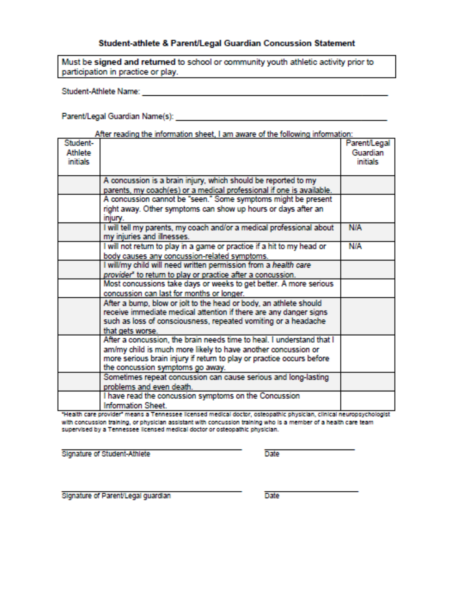### Student-athlete & Parent/Legal Guardian Concussion Statement

Must be signed and returned to school or community youth athletic activity prior to participation in practice or play.

**Student-Athlete Name:** 

Parent/Legal Guardian Name(s):

|                 | After reading the information sheet, I am aware of the following information: |              |
|-----------------|-------------------------------------------------------------------------------|--------------|
| Student-        |                                                                               | Parent/Legal |
| <b>Athlete</b>  |                                                                               | Guardian     |
| <b>initials</b> |                                                                               | inifials.    |
|                 |                                                                               |              |
|                 | A concussion is a brain injury, which should be reported to my                |              |
|                 | parents, my coach(es) or a medical professional if one is available.          |              |
|                 | A concussion cannot be "seen." Some symptoms might be present                 |              |
|                 | right away. Other symptoms can show up hours or days after an                 |              |
|                 | iniurv.                                                                       |              |
|                 | I will tell my parents, my coach and/or a medical professional about          | <b>NIA</b>   |
|                 | my injuries and illnesses.                                                    |              |
|                 | I will not return to play in a game or practice if a hit to my head or        | <b>N/A</b>   |
|                 | body causes any concussion-related symptoms.                                  |              |
|                 | I will/my child will need written permission from a health care               |              |
|                 | provider" to return to play or practice after a concussion.                   |              |
|                 | Most concussions take days or weeks to get better. A more serious             |              |
|                 | concussion can last for months or longer.                                     |              |
|                 | After a bump, blow or jolt to the head or body, an athlete should             |              |
|                 | receive immediate medical attention if there are any danger signs             |              |
|                 | such as loss of consciousness, repeated vomiting or a headache                |              |
|                 | that gets worse.                                                              |              |
|                 | After a concussion, the brain needs time to heal. I understand that I         |              |
|                 | am/my child is much more likely to have another concussion or                 |              |
|                 | more serious brain injury if return to play or practice occurs before         |              |
|                 | the concussion symptoms go away.                                              |              |
|                 | Sometimes repeat concussion can cause serious and long-lasting                |              |
|                 | problems and even death.                                                      |              |
|                 | I have read the concussion symptoms on the Concussion                         |              |
|                 | <b>Information Sheet.</b>                                                     |              |

"Health care provider" means a Tennessee licensed medical doctor, osteopathic physician, clinical neuropsychologist with concussion training, or physician assistant with concussion training who is a member of a health care team. supervised by a Tennessee licensed medical doctor or osteopathic physician.

Signature of Student-Athlete

**Date** 

Signature of Parent/Legal guardian

**Date**